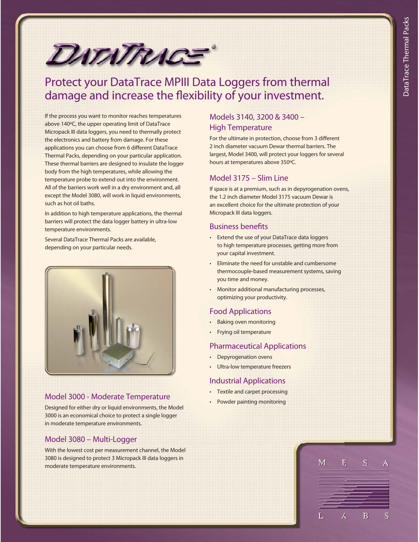

# Protect your DataTrace MPIII Data Loggers from thermal damage and increase the flexibility of your investment.

If the process you want to monitor reaches temperatures above 140ºC, the upper operating limit of DataTrace Micropack III data loggers, you need to thermally protect the electronics and battery from damage. For these applications you can choose from 6 different DataTrace Thermal Packs, depending on your particular application. These thermal barriers are designed to insulate the logger body from the high temperatures, while allowing the temperature probe to extend out into the environment. All of the barriers work well in a dry environment and, all except the Model 3080, will work in liquid environments, such as hot oil baths.

In addition to high temperature applications, the thermal barriers will protect the data logger battery in ultra-low temperature environments.

Several DataTrace Thermal Packs are available, depending on your particular needs.



#### Model 3000 - Moderate Temperature

Designed for either dry or liquid environments, the Model 3000 is an economical choice to protect a single logger in moderate temperature environments.

### Model 3080 – Multi-Logger

With the lowest cost per measurement channel, the Model 3080 is designed to protect 3 Micropack III data loggers in moderate temperature environments.

### Models 3140, 3200 & 3400 – High Temperature

For the ultimate in protection, choose from 3 different 2 inch diameter vacuum Dewar thermal barriers. The largest, Model 3400, will protect your loggers for several hours at temperatures above 350ºC.

### Model 3175 – Slim Line

If space is at a premium, such as in depyrogenation ovens, the 1.2 inch diameter Model 3175 vacuum Dewar is an excellent choice for the ultimate protection of your Micropack III data loggers.

#### Business benefits

- Extend the use of your DataTrace data loggers to high temperature processes, getting more from your capital investment.
- Eliminate the need for unstable and cumbersome thermocouple-based measurement systems, saving you time and money.
- Monitor additional manufacturing processes, optimizing your productivity.

### Food Applications

- Baking oven monitoring
- Frying oil temperature

### Pharmaceutical Applications

- Depyrogenation ovens
- Ultra-low temperature freezers

### Industrial Applications

- Textile and carpet processing
- Powder painting monitoring